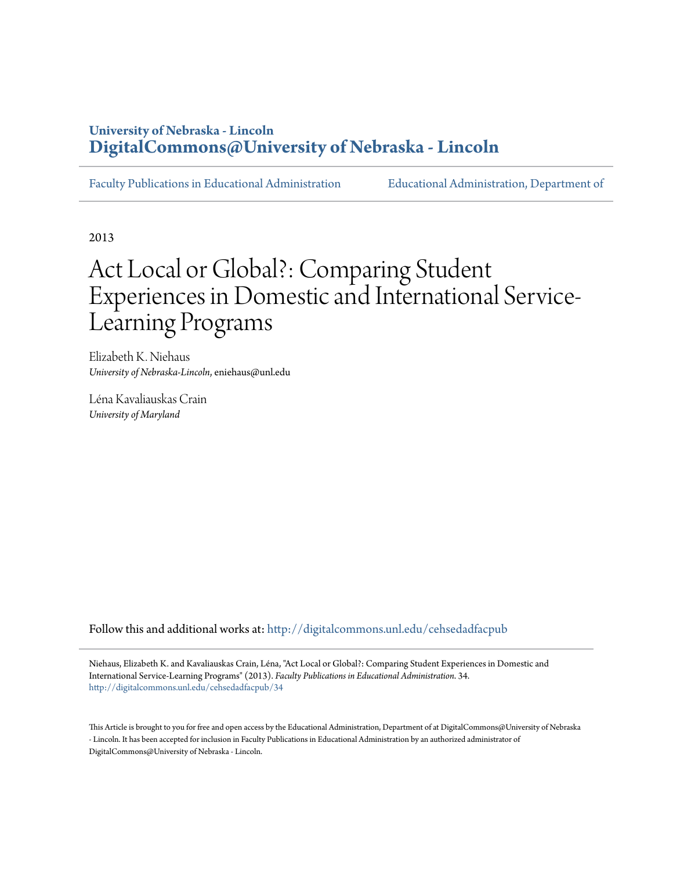# **University of Nebraska - Lincoln [DigitalCommons@University of Nebraska - Lincoln](http://digitalcommons.unl.edu?utm_source=digitalcommons.unl.edu%2Fcehsedadfacpub%2F34&utm_medium=PDF&utm_campaign=PDFCoverPages)**

[Faculty Publications in Educational Administration](http://digitalcommons.unl.edu/cehsedadfacpub?utm_source=digitalcommons.unl.edu%2Fcehsedadfacpub%2F34&utm_medium=PDF&utm_campaign=PDFCoverPages) [Educational Administration, Department of](http://digitalcommons.unl.edu/educ_admin?utm_source=digitalcommons.unl.edu%2Fcehsedadfacpub%2F34&utm_medium=PDF&utm_campaign=PDFCoverPages)

2013

# Act Local or Global?: Comparing Student Experiences in Domestic and International Service-Learning Programs

Elizabeth K. Niehaus *University of Nebraska-Lincoln*, eniehaus@unl.edu

Léna Kavaliauskas Crain *University of Maryland*

Follow this and additional works at: [http://digitalcommons.unl.edu/cehsedadfacpub](http://digitalcommons.unl.edu/cehsedadfacpub?utm_source=digitalcommons.unl.edu%2Fcehsedadfacpub%2F34&utm_medium=PDF&utm_campaign=PDFCoverPages)

Niehaus, Elizabeth K. and Kavaliauskas Crain, Léna, "Act Local or Global?: Comparing Student Experiences in Domestic and International Service-Learning Programs" (2013). *Faculty Publications in Educational Administration*. 34. [http://digitalcommons.unl.edu/cehsedadfacpub/34](http://digitalcommons.unl.edu/cehsedadfacpub/34?utm_source=digitalcommons.unl.edu%2Fcehsedadfacpub%2F34&utm_medium=PDF&utm_campaign=PDFCoverPages)

This Article is brought to you for free and open access by the Educational Administration, Department of at DigitalCommons@University of Nebraska - Lincoln. It has been accepted for inclusion in Faculty Publications in Educational Administration by an authorized administrator of DigitalCommons@University of Nebraska - Lincoln.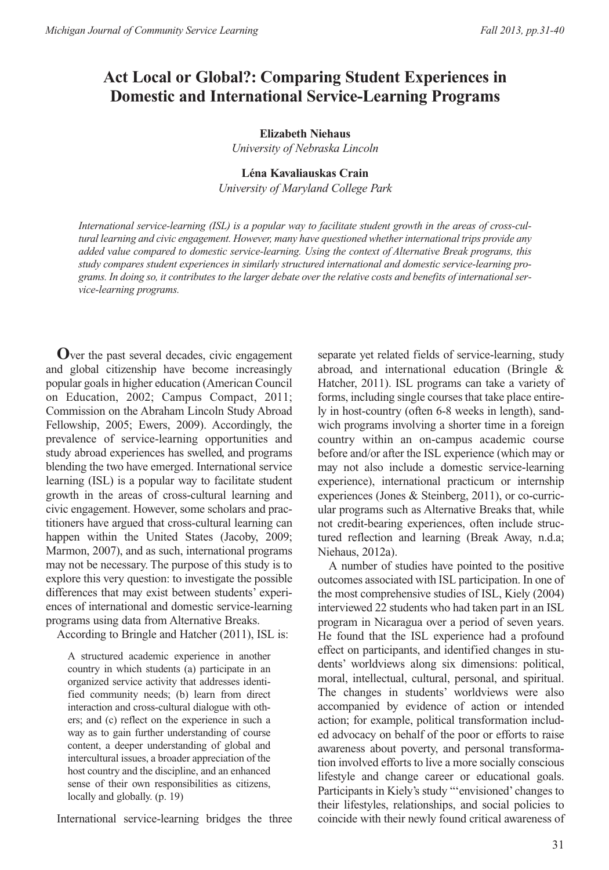# **Act Local or Global?: Comparing Student Experiences in Domestic and International Service-Learning Programs**

# **Elizabeth Niehaus**

*University of Nebraska Lincoln*

# **Léna Kavaliauskas Crain**

*University of Maryland College Park*

*International service-learning (ISL) is a popular way to facilitate student growth in the areas of cross-cultural learning and civic engagement. However, many have questioned whether international trips provide any added value compared to domestic service-learning. Using the context of Alternative Break programs, this study compares student experiences in similarly structured international and domestic service-learning programs. In doing so, it contributes to the larger debate over the relative costs and benefits of international service-learning programs.*

**O**ver the past several decades, civic engagement and global citizenship have become increasingly popular goals in higher education (American Council on Education, 2002; Campus Compact, 2011; Commission on the Abraham Lincoln Study Abroad Fellowship, 2005; Ewers, 2009). Accordingly, the prevalence of service-learning opportunities and study abroad experiences has swelled, and programs blending the two have emerged. International service learning (ISL) is a popular way to facilitate student growth in the areas of cross-cultural learning and civic engagement. However, some scholars and practitioners have argued that cross-cultural learning can happen within the United States (Jacoby, 2009; Marmon, 2007), and as such, international programs may not be necessary. The purpose of this study is to explore this very question: to investigate the possible differences that may exist between students' experiences of international and domestic service-learning programs using data from Alternative Breaks.

According to Bringle and Hatcher (2011), ISL is:

A structured academic experience in another country in which students (a) participate in an organized service activity that addresses identified community needs; (b) learn from direct interaction and cross-cultural dialogue with others; and (c) reflect on the experience in such a way as to gain further understanding of course content, a deeper understanding of global and intercultural issues, a broader appreciation of the host country and the discipline, and an enhanced sense of their own responsibilities as citizens, locally and globally. (p. 19)

International service-learning bridges the three

separate yet related fields of service-learning, study abroad, and international education (Bringle & Hatcher, 2011). ISL programs can take a variety of forms, including single courses that take place entirely in host-country (often 6-8 weeks in length), sandwich programs involving a shorter time in a foreign country within an on-campus academic course before and/or after the ISL experience (which may or may not also include a domestic service-learning experience), international practicum or internship experiences (Jones & Steinberg, 2011), or co-curricular programs such as Alternative Breaks that, while not credit-bearing experiences, often include structured reflection and learning (Break Away, n.d.a; Niehaus, 2012a).

A number of studies have pointed to the positive outcomes associated with ISL participation. In one of the most comprehensive studies of ISL, Kiely (2004) interviewed 22 students who had taken part in an ISL program in Nicaragua over a period of seven years. He found that the ISL experience had a profound effect on participants, and identified changes in students' worldviews along six dimensions: political, moral, intellectual, cultural, personal, and spiritual. The changes in students' worldviews were also accompanied by evidence of action or intended action; for example, political transformation included advocacy on behalf of the poor or efforts to raise awareness about poverty, and personal transformation involved efforts to live a more socially conscious lifestyle and change career or educational goals. Participants in Kiely's study "'envisioned' changes to their lifestyles, relationships, and social policies to coincide with their newly found critical awareness of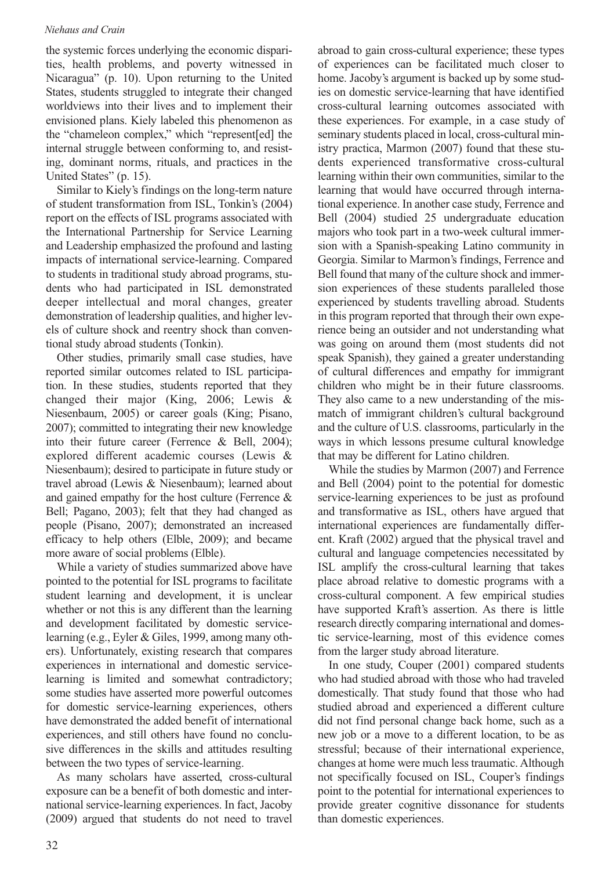# *Niehaus and Crain*

the systemic forces underlying the economic disparities, health problems, and poverty witnessed in Nicaragua" (p. 10). Upon returning to the United States, students struggled to integrate their changed worldviews into their lives and to implement their envisioned plans. Kiely labeled this phenomenon as the "chameleon complex," which "represent[ed] the internal struggle between conforming to, and resisting, dominant norms, rituals, and practices in the United States" (p. 15).

Similar to Kiely's findings on the long-term nature of student transformation from ISL, Tonkin's (2004) report on the effects of ISL programs associated with the International Partnership for Service Learning and Leadership emphasized the profound and lasting impacts of international service-learning. Compared to students in traditional study abroad programs, students who had participated in ISL demonstrated deeper intellectual and moral changes, greater demonstration of leadership qualities, and higher levels of culture shock and reentry shock than conventional study abroad students (Tonkin).

Other studies, primarily small case studies, have reported similar outcomes related to ISL participation. In these studies, students reported that they changed their major (King, 2006; Lewis & Niesenbaum, 2005) or career goals (King; Pisano, 2007); committed to integrating their new knowledge into their future career (Ferrence & Bell, 2004); explored different academic courses (Lewis & Niesenbaum); desired to participate in future study or travel abroad (Lewis & Niesenbaum); learned about and gained empathy for the host culture (Ferrence & Bell; Pagano, 2003); felt that they had changed as people (Pisano, 2007); demonstrated an increased efficacy to help others (Elble, 2009); and became more aware of social problems (Elble).

While a variety of studies summarized above have pointed to the potential for ISL programs to facilitate student learning and development, it is unclear whether or not this is any different than the learning and development facilitated by domestic servicelearning (e.g., Eyler & Giles, 1999, among many others). Unfortunately, existing research that compares experiences in international and domestic servicelearning is limited and somewhat contradictory; some studies have asserted more powerful outcomes for domestic service-learning experiences, others have demonstrated the added benefit of international experiences, and still others have found no conclusive differences in the skills and attitudes resulting between the two types of service-learning.

As many scholars have asserted, cross-cultural exposure can be a benefit of both domestic and international service-learning experiences. In fact, Jacoby (2009) argued that students do not need to travel

abroad to gain cross-cultural experience; these types of experiences can be facilitated much closer to home. Jacoby's argument is backed up by some studies on domestic service-learning that have identified cross-cultural learning outcomes associated with these experiences. For example, in a case study of seminary students placed in local, cross-cultural ministry practica, Marmon (2007) found that these students experienced transformative cross-cultural learning within their own communities, similar to the learning that would have occurred through international experience. In another case study, Ferrence and Bell (2004) studied 25 undergraduate education majors who took part in a two-week cultural immersion with a Spanish-speaking Latino community in Georgia. Similar to Marmon's findings, Ferrence and Bell found that many of the culture shock and immersion experiences of these students paralleled those experienced by students travelling abroad. Students in this program reported that through their own experience being an outsider and not understanding what was going on around them (most students did not speak Spanish), they gained a greater understanding of cultural differences and empathy for immigrant children who might be in their future classrooms. They also came to a new understanding of the mismatch of immigrant children's cultural background and the culture of U.S. classrooms, particularly in the ways in which lessons presume cultural knowledge that may be different for Latino children.

While the studies by Marmon (2007) and Ferrence and Bell (2004) point to the potential for domestic service-learning experiences to be just as profound and transformative as ISL, others have argued that international experiences are fundamentally different. Kraft (2002) argued that the physical travel and cultural and language competencies necessitated by ISL amplify the cross-cultural learning that takes place abroad relative to domestic programs with a cross-cultural component. A few empirical studies have supported Kraft's assertion. As there is little research directly comparing international and domestic service-learning, most of this evidence comes from the larger study abroad literature.

In one study, Couper (2001) compared students who had studied abroad with those who had traveled domestically. That study found that those who had studied abroad and experienced a different culture did not find personal change back home, such as a new job or a move to a different location, to be as stressful; because of their international experience, changes at home were much less traumatic. Although not specifically focused on ISL, Couper's findings point to the potential for international experiences to provide greater cognitive dissonance for students than domestic experiences.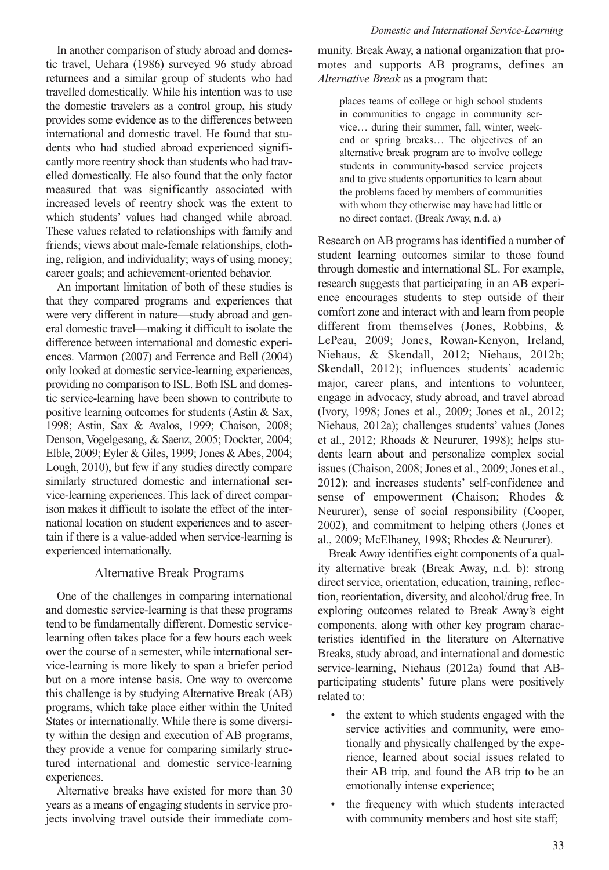In another comparison of study abroad and domestic travel, Uehara (1986) surveyed 96 study abroad returnees and a similar group of students who had travelled domestically. While his intention was to use the domestic travelers as a control group, his study provides some evidence as to the differences between international and domestic travel. He found that students who had studied abroad experienced significantly more reentry shock than students who had travelled domestically. He also found that the only factor measured that was significantly associated with increased levels of reentry shock was the extent to which students' values had changed while abroad. These values related to relationships with family and friends; views about male-female relationships, clothing, religion, and individuality; ways of using money; career goals; and achievement-oriented behavior.

An important limitation of both of these studies is that they compared programs and experiences that were very different in nature—study abroad and general domestic travel—making it difficult to isolate the difference between international and domestic experiences. Marmon (2007) and Ferrence and Bell (2004) only looked at domestic service-learning experiences, providing no comparison to ISL. Both ISL and domestic service-learning have been shown to contribute to positive learning outcomes for students (Astin & Sax, 1998; Astin, Sax & Avalos, 1999; Chaison, 2008; Denson, Vogelgesang, & Saenz, 2005; Dockter, 2004; Elble, 2009; Eyler & Giles, 1999; Jones & Abes, 2004; Lough, 2010), but few if any studies directly compare similarly structured domestic and international service-learning experiences. This lack of direct comparison makes it difficult to isolate the effect of the international location on student experiences and to ascertain if there is a value-added when service-learning is experienced internationally.

## Alternative Break Programs

One of the challenges in comparing international and domestic service-learning is that these programs tend to be fundamentally different. Domestic servicelearning often takes place for a few hours each week over the course of a semester, while international service-learning is more likely to span a briefer period but on a more intense basis. One way to overcome this challenge is by studying Alternative Break (AB) programs, which take place either within the United States or internationally. While there is some diversity within the design and execution of AB programs, they provide a venue for comparing similarly structured international and domestic service-learning experiences.

Alternative breaks have existed for more than 30 years as a means of engaging students in service projects involving travel outside their immediate com-

munity. Break Away, a national organization that promotes and supports AB programs, defines an *Alternative Break* as a program that:

places teams of college or high school students in communities to engage in community service… during their summer, fall, winter, weekend or spring breaks… The objectives of an alternative break program are to involve college students in community-based service projects and to give students opportunities to learn about the problems faced by members of communities with whom they otherwise may have had little or no direct contact. (Break Away, n.d. a)

Research on AB programs has identified a number of student learning outcomes similar to those found through domestic and international SL. For example, research suggests that participating in an AB experience encourages students to step outside of their comfort zone and interact with and learn from people different from themselves (Jones, Robbins, & LePeau, 2009; Jones, Rowan-Kenyon, Ireland, Niehaus, & Skendall, 2012; Niehaus, 2012b; Skendall, 2012); influences students' academic major, career plans, and intentions to volunteer, engage in advocacy, study abroad, and travel abroad (Ivory, 1998; Jones et al., 2009; Jones et al., 2012; Niehaus, 2012a); challenges students' values (Jones et al., 2012; Rhoads & Neururer, 1998); helps students learn about and personalize complex social issues (Chaison, 2008; Jones et al., 2009; Jones et al., 2012); and increases students' self-confidence and sense of empowerment (Chaison; Rhodes & Neururer), sense of social responsibility (Cooper, 2002), and commitment to helping others (Jones et al., 2009; McElhaney, 1998; Rhodes & Neururer).

Break Away identifies eight components of a quality alternative break (Break Away, n.d. b): strong direct service, orientation, education, training, reflection, reorientation, diversity, and alcohol/drug free. In exploring outcomes related to Break Away's eight components, along with other key program characteristics identified in the literature on Alternative Breaks, study abroad, and international and domestic service-learning, Niehaus (2012a) found that ABparticipating students' future plans were positively related to:

- the extent to which students engaged with the service activities and community, were emotionally and physically challenged by the experience, learned about social issues related to their AB trip, and found the AB trip to be an emotionally intense experience;
- the frequency with which students interacted with community members and host site staff;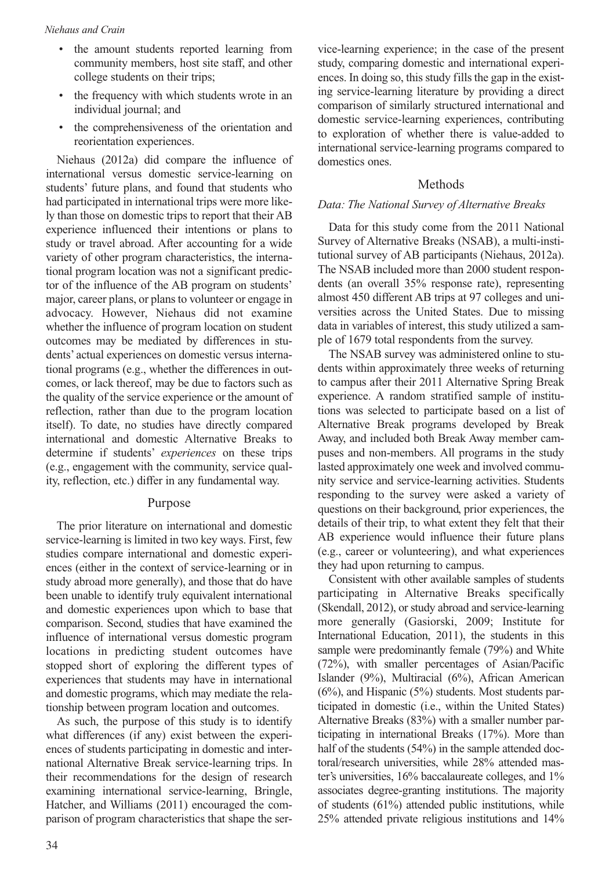- the amount students reported learning from community members, host site staff, and other college students on their trips;
- the frequency with which students wrote in an individual journal; and
- the comprehensiveness of the orientation and reorientation experiences.

Niehaus (2012a) did compare the influence of international versus domestic service-learning on students' future plans, and found that students who had participated in international trips were more likely than those on domestic trips to report that their AB experience influenced their intentions or plans to study or travel abroad. After accounting for a wide variety of other program characteristics, the international program location was not a significant predictor of the influence of the AB program on students' major, career plans, or plans to volunteer or engage in advocacy. However, Niehaus did not examine whether the influence of program location on student outcomes may be mediated by differences in students' actual experiences on domestic versus international programs (e.g., whether the differences in outcomes, or lack thereof, may be due to factors such as the quality of the service experience or the amount of reflection, rather than due to the program location itself). To date, no studies have directly compared international and domestic Alternative Breaks to determine if students' *experiences* on these trips (e.g., engagement with the community, service quality, reflection, etc.) differ in any fundamental way.

# Purpose

The prior literature on international and domestic service-learning is limited in two key ways. First, few studies compare international and domestic experiences (either in the context of service-learning or in study abroad more generally), and those that do have been unable to identify truly equivalent international and domestic experiences upon which to base that comparison. Second, studies that have examined the influence of international versus domestic program locations in predicting student outcomes have stopped short of exploring the different types of experiences that students may have in international and domestic programs, which may mediate the relationship between program location and outcomes.

As such, the purpose of this study is to identify what differences (if any) exist between the experiences of students participating in domestic and international Alternative Break service-learning trips. In their recommendations for the design of research examining international service-learning, Bringle, Hatcher, and Williams (2011) encouraged the comparison of program characteristics that shape the service-learning experience; in the case of the present study, comparing domestic and international experiences. In doing so, this study fills the gap in the existing service-learning literature by providing a direct comparison of similarly structured international and domestic service-learning experiences, contributing to exploration of whether there is value-added to international service-learning programs compared to domestics ones.

# Methods

#### *Data: The National Survey of Alternative Breaks*

Data for this study come from the 2011 National Survey of Alternative Breaks (NSAB), a multi-institutional survey of AB participants (Niehaus, 2012a). The NSAB included more than 2000 student respondents (an overall 35% response rate), representing almost 450 different AB trips at 97 colleges and universities across the United States. Due to missing data in variables of interest, this study utilized a sample of 1679 total respondents from the survey.

The NSAB survey was administered online to students within approximately three weeks of returning to campus after their 2011 Alternative Spring Break experience. A random stratified sample of institutions was selected to participate based on a list of Alternative Break programs developed by Break Away, and included both Break Away member campuses and non-members. All programs in the study lasted approximately one week and involved community service and service-learning activities. Students responding to the survey were asked a variety of questions on their background, prior experiences, the details of their trip, to what extent they felt that their AB experience would influence their future plans (e.g., career or volunteering), and what experiences they had upon returning to campus.

Consistent with other available samples of students participating in Alternative Breaks specifically (Skendall, 2012), or study abroad and service-learning more generally (Gasiorski, 2009; Institute for International Education, 2011), the students in this sample were predominantly female (79%) and White (72%), with smaller percentages of Asian/Pacific Islander (9%), Multiracial (6%), African American  $(6%)$ , and Hispanic  $(5%)$  students. Most students participated in domestic (i.e., within the United States) Alternative Breaks (83%) with a smaller number participating in international Breaks (17%). More than half of the students (54%) in the sample attended doctoral/research universities, while 28% attended master's universities, 16% baccalaureate colleges, and 1% associates degree-granting institutions. The majority of students (61%) attended public institutions, while 25% attended private religious institutions and 14%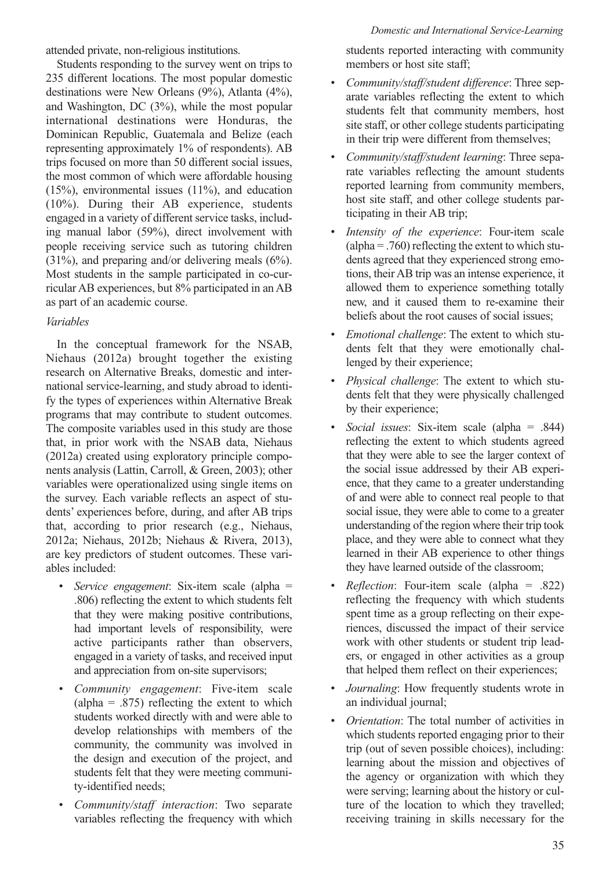#### *Domestic and International Service-Learning*

attended private, non-religious institutions.

Students responding to the survey went on trips to 235 different locations. The most popular domestic destinations were New Orleans (9%), Atlanta (4%), and Washington, DC (3%), while the most popular international destinations were Honduras, the Dominican Republic, Guatemala and Belize (each representing approximately 1% of respondents). AB trips focused on more than 50 different social issues, the most common of which were affordable housing (15%), environmental issues (11%), and education (10%). During their AB experience, students engaged in a variety of different service tasks, including manual labor (59%), direct involvement with people receiving service such as tutoring children (31%), and preparing and/or delivering meals (6%). Most students in the sample participated in co-curricular AB experiences, but 8% participated in an AB as part of an academic course.

# *Variables*

In the conceptual framework for the NSAB, Niehaus (2012a) brought together the existing research on Alternative Breaks, domestic and international service-learning, and study abroad to identify the types of experiences within Alternative Break programs that may contribute to student outcomes. The composite variables used in this study are those that, in prior work with the NSAB data, Niehaus (2012a) created using exploratory principle components analysis (Lattin, Carroll, & Green, 2003); other variables were operationalized using single items on the survey. Each variable reflects an aspect of students' experiences before, during, and after AB trips that, according to prior research (e.g., Niehaus, 2012a; Niehaus, 2012b; Niehaus & Rivera, 2013), are key predictors of student outcomes. These variables included:

- *Service engagement*: Six-item scale (alpha = .806) reflecting the extent to which students felt that they were making positive contributions, had important levels of responsibility, were active participants rather than observers, engaged in a variety of tasks, and received input and appreciation from on-site supervisors;
- *Community engagement*: Five-item scale (alpha =  $.875$ ) reflecting the extent to which students worked directly with and were able to develop relationships with members of the community, the community was involved in the design and execution of the project, and students felt that they were meeting community-identified needs;
- *Community/staff interaction*: Two separate variables reflecting the frequency with which

students reported interacting with community members or host site staff;

- *Community/staff/student difference*: Three separate variables reflecting the extent to which students felt that community members, host site staff, or other college students participating in their trip were different from themselves;
- *Community/staff/student learning*: Three separate variables reflecting the amount students reported learning from community members, host site staff, and other college students participating in their AB trip;
- *Intensity of the experience*: Four-item scale (alpha  $=$  .760) reflecting the extent to which students agreed that they experienced strong emotions, their AB trip was an intense experience, it allowed them to experience something totally new, and it caused them to re-examine their beliefs about the root causes of social issues;
- *Emotional challenge*: The extent to which students felt that they were emotionally challenged by their experience;
- *Physical challenge*: The extent to which students felt that they were physically challenged by their experience;
- *Social issues*: Six-item scale (alpha = .844) reflecting the extent to which students agreed that they were able to see the larger context of the social issue addressed by their AB experience, that they came to a greater understanding of and were able to connect real people to that social issue, they were able to come to a greater understanding of the region where their trip took place, and they were able to connect what they learned in their AB experience to other things they have learned outside of the classroom;
- *Reflection*: Four-item scale (alpha = .822) reflecting the frequency with which students spent time as a group reflecting on their experiences, discussed the impact of their service work with other students or student trip leaders, or engaged in other activities as a group that helped them reflect on their experiences;
- *Journaling*: How frequently students wrote in an individual journal;
- *Orientation*: The total number of activities in which students reported engaging prior to their trip (out of seven possible choices), including: learning about the mission and objectives of the agency or organization with which they were serving; learning about the history or culture of the location to which they travelled; receiving training in skills necessary for the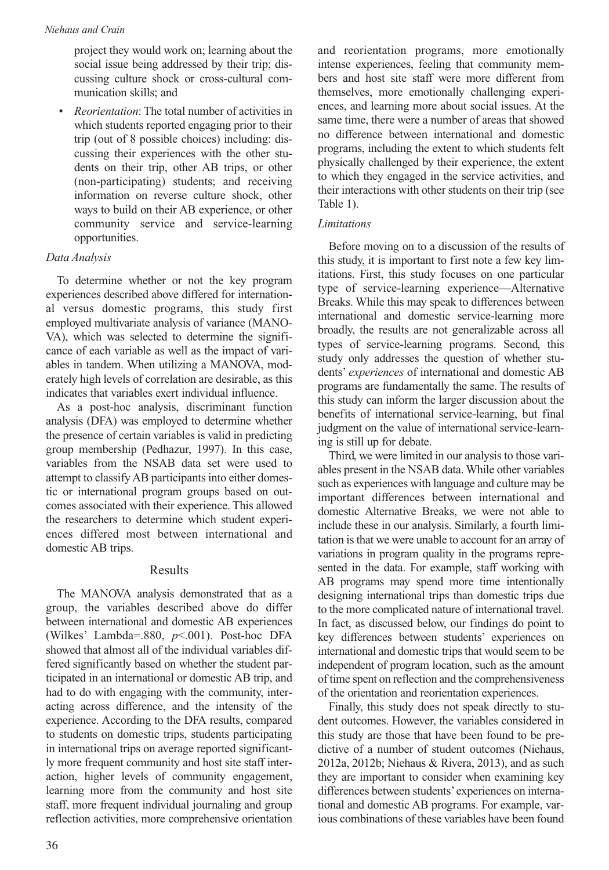project they would work on; learning about the social issue being addressed by their trip; discussing culture shock or cross-cultural communication skills; and

• *Reorientation*: The total number of activities in which students reported engaging prior to their trip (out of 8 possible choices) including: discussing their experiences with the other students on their trip, other AB trips, or other (non-participating) students; and receiving information on reverse culture shock, other ways to build on their AB experience, or other community service and service-learning opportunities.

# *Data Analysis*

To determine whether or not the key program experiences described above differed for international versus domestic programs, this study first employed multivariate analysis of variance (MANO-VA), which was selected to determine the significance of each variable as well as the impact of variables in tandem. When utilizing a MANOVA, moderately high levels of correlation are desirable, as this indicates that variables exert individual influence.

As a post-hoc analysis, discriminant function analysis (DFA) was employed to determine whether the presence of certain variables is valid in predicting group membership (Pedhazur, 1997). In this case, variables from the NSAB data set were used to attempt to classify AB participants into either domestic or international program groups based on outcomes associated with their experience. This allowed the researchers to determine which student experiences differed most between international and domestic AB trips.

#### Results

The MANOVA analysis demonstrated that as a group, the variables described above do differ between international and domestic AB experiences (Wilkes' Lambda=.880, *p*<.001). Post-hoc DFA showed that almost all of the individual variables differed significantly based on whether the student participated in an international or domestic AB trip, and had to do with engaging with the community, interacting across difference, and the intensity of the experience. According to the DFA results, compared to students on domestic trips, students participating in international trips on average reported significantly more frequent community and host site staff interaction, higher levels of community engagement, learning more from the community and host site staff, more frequent individual journaling and group reflection activities, more comprehensive orientation and reorientation programs, more emotionally intense experiences, feeling that community members and host site staff were more different from themselves, more emotionally challenging experiences, and learning more about social issues. At the same time, there were a number of areas that showed no difference between international and domestic programs, including the extent to which students felt physically challenged by their experience, the extent to which they engaged in the service activities, and their interactions with other students on their trip (see Table 1).

# *Limitations*

Before moving on to a discussion of the results of this study, it is important to first note a few key limitations. First, this study focuses on one particular type of service-learning experience—Alternative Breaks. While this may speak to differences between international and domestic service-learning more broadly, the results are not generalizable across all types of service-learning programs. Second, this study only addresses the question of whether students' *experiences* of international and domestic AB programs are fundamentally the same. The results of this study can inform the larger discussion about the benefits of international service-learning, but final judgment on the value of international service-learning is still up for debate.

Third, we were limited in our analysis to those variables present in the NSAB data. While other variables such as experiences with language and culture may be important differences between international and domestic Alternative Breaks, we were not able to include these in our analysis. Similarly, a fourth limitation is that we were unable to account for an array of variations in program quality in the programs represented in the data. For example, staff working with AB programs may spend more time intentionally designing international trips than domestic trips due to the more complicated nature of international travel. In fact, as discussed below, our findings do point to key differences between students' experiences on international and domestic trips that would seem to be independent of program location, such as the amount of time spent on reflection and the comprehensiveness of the orientation and reorientation experiences.

Finally, this study does not speak directly to student outcomes. However, the variables considered in this study are those that have been found to be predictive of a number of student outcomes (Niehaus, 2012a, 2012b; Niehaus & Rivera, 2013), and as such they are important to consider when examining key differences between students' experiences on international and domestic AB programs. For example, various combinations of these variables have been found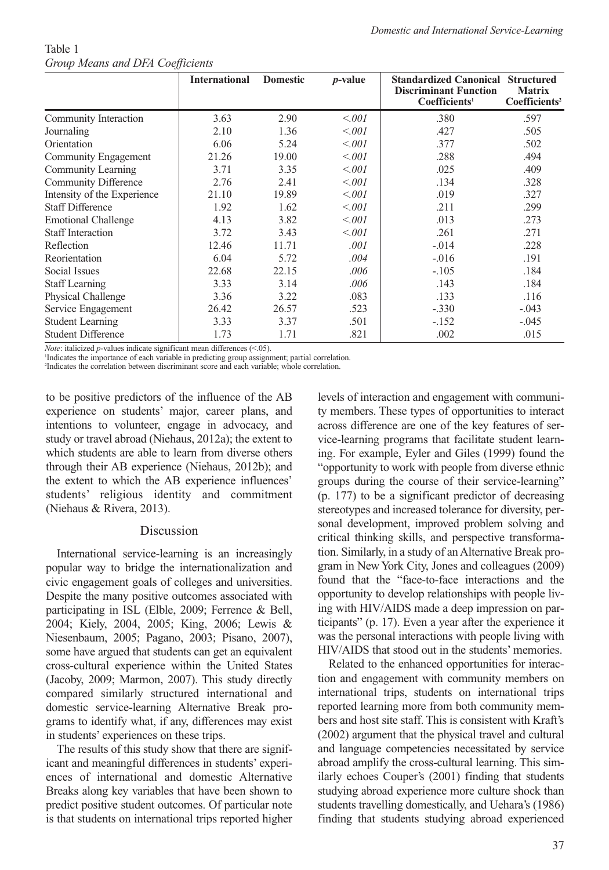| <i>Croup means and DrA Coefficients</i> |                      |                 |            |                                                                                                       |                                            |
|-----------------------------------------|----------------------|-----------------|------------|-------------------------------------------------------------------------------------------------------|--------------------------------------------|
|                                         | <b>International</b> | <b>Domestic</b> | $p$ -value | <b>Standardized Canonical Structured</b><br><b>Discriminant Function</b><br>Coefficients <sup>1</sup> | <b>Matrix</b><br>Coefficients <sup>2</sup> |
| Community Interaction                   | 3.63                 | 2.90            | < 0.001    | .380                                                                                                  | .597                                       |
| Journaling                              | 2.10                 | 1.36            | < 0.001    | .427                                                                                                  | .505                                       |
| Orientation                             | 6.06                 | 5.24            | < 0.01     | .377                                                                                                  | .502                                       |
| Community Engagement                    | 21.26                | 19.00           | < 0.001    | .288                                                                                                  | .494                                       |
| Community Learning                      | 3.71                 | 3.35            | < 0.001    | .025                                                                                                  | .409                                       |
| Community Difference                    | 2.76                 | 2.41            | < 0.001    | .134                                                                                                  | .328                                       |
| Intensity of the Experience             | 21.10                | 19.89           | < 0.001    | .019                                                                                                  | .327                                       |
| <b>Staff Difference</b>                 | 1.92                 | 1.62            | < 0.001    | .211                                                                                                  | .299                                       |
| <b>Emotional Challenge</b>              | 4.13                 | 3.82            | < 0.001    | .013                                                                                                  | .273                                       |
| <b>Staff Interaction</b>                | 3.72                 | 3.43            | < 0.001    | .261                                                                                                  | .271                                       |
| Reflection                              | 12.46                | 11.71           | .001       | $-.014$                                                                                               | .228                                       |
| Reorientation                           | 6.04                 | 5.72            | .004       | $-0.016$                                                                                              | .191                                       |
| Social Issues                           | 22.68                | 22.15           | .006       | $-.105$                                                                                               | .184                                       |
| <b>Staff Learning</b>                   | 3.33                 | 3.14            | .006       | .143                                                                                                  | .184                                       |
| Physical Challenge                      | 3.36                 | 3.22            | .083       | .133                                                                                                  | .116                                       |
| Service Engagement                      | 26.42                | 26.57           | .523       | $-.330$                                                                                               | $-.043$                                    |
| <b>Student Learning</b>                 | 3.33                 | 3.37            | .501       | $-152$                                                                                                | $-.045$                                    |
| <b>Student Difference</b>               | 1.73                 | 1.71            | .821       | .002                                                                                                  | .015                                       |

Table 1 *Group Means and DFA Coefficients*

*Note*: italicized *p*-values indicate significant mean differences (<.05).

1 Indicates the importance of each variable in predicting group assignment; partial correlation.

2 Indicates the correlation between discriminant score and each variable; whole correlation.

to be positive predictors of the influence of the AB experience on students' major, career plans, and intentions to volunteer, engage in advocacy, and study or travel abroad (Niehaus, 2012a); the extent to which students are able to learn from diverse others through their AB experience (Niehaus, 2012b); and the extent to which the AB experience influences' students' religious identity and commitment (Niehaus & Rivera, 2013).

# Discussion

International service-learning is an increasingly popular way to bridge the internationalization and civic engagement goals of colleges and universities. Despite the many positive outcomes associated with participating in ISL (Elble, 2009; Ferrence & Bell, 2004; Kiely, 2004, 2005; King, 2006; Lewis & Niesenbaum, 2005; Pagano, 2003; Pisano, 2007), some have argued that students can get an equivalent cross-cultural experience within the United States (Jacoby, 2009; Marmon, 2007). This study directly compared similarly structured international and domestic service-learning Alternative Break programs to identify what, if any, differences may exist in students' experiences on these trips.

The results of this study show that there are significant and meaningful differences in students' experiences of international and domestic Alternative Breaks along key variables that have been shown to predict positive student outcomes. Of particular note is that students on international trips reported higher levels of interaction and engagement with community members. These types of opportunities to interact across difference are one of the key features of service-learning programs that facilitate student learning. For example, Eyler and Giles (1999) found the "opportunity to work with people from diverse ethnic groups during the course of their service-learning" (p. 177) to be a significant predictor of decreasing stereotypes and increased tolerance for diversity, personal development, improved problem solving and critical thinking skills, and perspective transformation. Similarly, in a study of an Alternative Break program in New York City, Jones and colleagues (2009) found that the "face-to-face interactions and the opportunity to develop relationships with people living with HIV/AIDS made a deep impression on participants" (p. 17). Even a year after the experience it was the personal interactions with people living with HIV/AIDS that stood out in the students' memories.

Related to the enhanced opportunities for interaction and engagement with community members on international trips, students on international trips reported learning more from both community members and host site staff. This is consistent with Kraft's (2002) argument that the physical travel and cultural and language competencies necessitated by service abroad amplify the cross-cultural learning. This similarly echoes Couper's (2001) finding that students studying abroad experience more culture shock than students travelling domestically, and Uehara's (1986) finding that students studying abroad experienced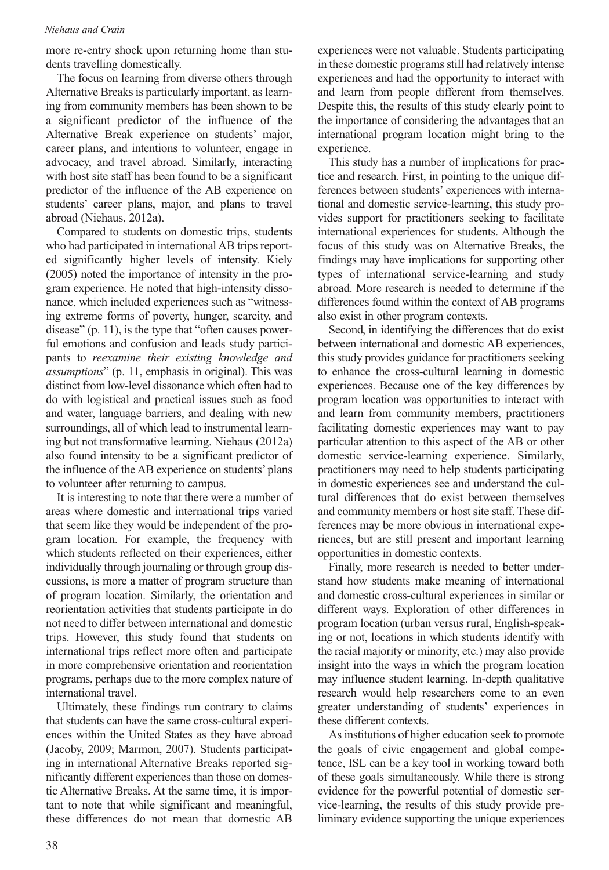#### *Niehaus and Crain*

more re-entry shock upon returning home than students travelling domestically.

The focus on learning from diverse others through Alternative Breaks is particularly important, as learning from community members has been shown to be a significant predictor of the influence of the Alternative Break experience on students' major, career plans, and intentions to volunteer, engage in advocacy, and travel abroad. Similarly, interacting with host site staff has been found to be a significant predictor of the influence of the AB experience on students' career plans, major, and plans to travel abroad (Niehaus, 2012a).

Compared to students on domestic trips, students who had participated in international AB trips reported significantly higher levels of intensity. Kiely (2005) noted the importance of intensity in the program experience. He noted that high-intensity dissonance, which included experiences such as "witnessing extreme forms of poverty, hunger, scarcity, and disease" (p. 11), is the type that "often causes powerful emotions and confusion and leads study participants to *reexamine their existing knowledge and assumptions*" (p. 11, emphasis in original). This was distinct from low-level dissonance which often had to do with logistical and practical issues such as food and water, language barriers, and dealing with new surroundings, all of which lead to instrumental learning but not transformative learning. Niehaus (2012a) also found intensity to be a significant predictor of the influence of the AB experience on students' plans to volunteer after returning to campus.

It is interesting to note that there were a number of areas where domestic and international trips varied that seem like they would be independent of the program location. For example, the frequency with which students reflected on their experiences, either individually through journaling or through group discussions, is more a matter of program structure than of program location. Similarly, the orientation and reorientation activities that students participate in do not need to differ between international and domestic trips. However, this study found that students on international trips reflect more often and participate in more comprehensive orientation and reorientation programs, perhaps due to the more complex nature of international travel.

Ultimately, these findings run contrary to claims that students can have the same cross-cultural experiences within the United States as they have abroad (Jacoby, 2009; Marmon, 2007). Students participating in international Alternative Breaks reported significantly different experiences than those on domestic Alternative Breaks. At the same time, it is important to note that while significant and meaningful, these differences do not mean that domestic AB experiences were not valuable. Students participating in these domestic programs still had relatively intense experiences and had the opportunity to interact with and learn from people different from themselves. Despite this, the results of this study clearly point to the importance of considering the advantages that an international program location might bring to the experience.

This study has a number of implications for practice and research. First, in pointing to the unique differences between students' experiences with international and domestic service-learning, this study provides support for practitioners seeking to facilitate international experiences for students. Although the focus of this study was on Alternative Breaks, the findings may have implications for supporting other types of international service-learning and study abroad. More research is needed to determine if the differences found within the context of AB programs also exist in other program contexts.

Second, in identifying the differences that do exist between international and domestic AB experiences, this study provides guidance for practitioners seeking to enhance the cross-cultural learning in domestic experiences. Because one of the key differences by program location was opportunities to interact with and learn from community members, practitioners facilitating domestic experiences may want to pay particular attention to this aspect of the AB or other domestic service-learning experience. Similarly, practitioners may need to help students participating in domestic experiences see and understand the cultural differences that do exist between themselves and community members or host site staff. These differences may be more obvious in international experiences, but are still present and important learning opportunities in domestic contexts.

Finally, more research is needed to better understand how students make meaning of international and domestic cross-cultural experiences in similar or different ways. Exploration of other differences in program location (urban versus rural, English-speaking or not, locations in which students identify with the racial majority or minority, etc.) may also provide insight into the ways in which the program location may influence student learning. In-depth qualitative research would help researchers come to an even greater understanding of students' experiences in these different contexts.

As institutions of higher education seek to promote the goals of civic engagement and global competence, ISL can be a key tool in working toward both of these goals simultaneously. While there is strong evidence for the powerful potential of domestic service-learning, the results of this study provide preliminary evidence supporting the unique experiences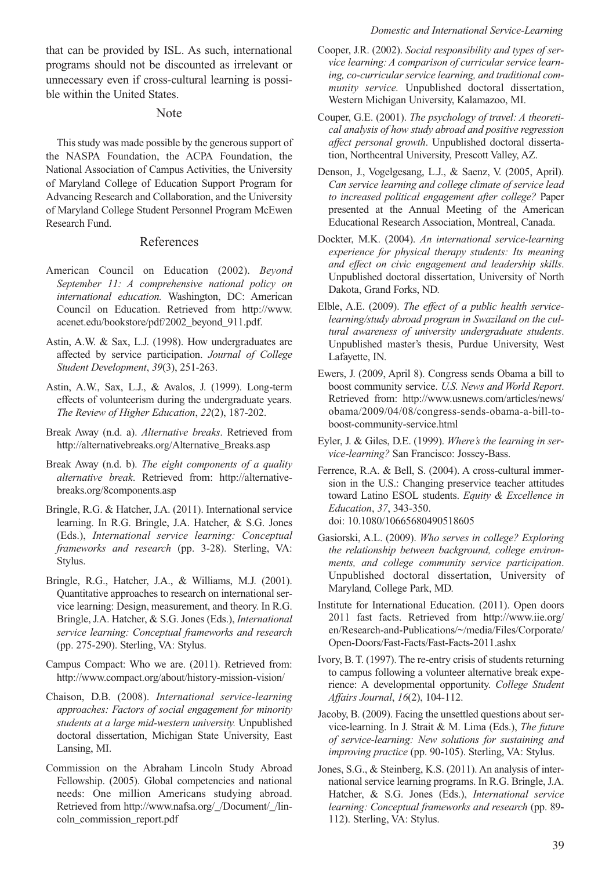that can be provided by ISL. As such, international programs should not be discounted as irrelevant or unnecessary even if cross-cultural learning is possible within the United States.

#### Note

This study was made possible by the generous support of the NASPA Foundation, the ACPA Foundation, the National Association of Campus Activities, the University of Maryland College of Education Support Program for Advancing Research and Collaboration, and the University of Maryland College Student Personnel Program McEwen Research Fund.

# References

- American Council on Education (2002). *Beyond September 11: A comprehensive national policy on international education.* Washington, DC: American Council on Education. Retrieved from http://www. acenet.edu/bookstore/pdf/2002\_beyond\_911.pdf.
- Astin, A.W. & Sax, L.J. (1998). How undergraduates are affected by service participation. *Journal of College Student Development*, *39*(3), 251-263.
- Astin, A.W., Sax, L.J., & Avalos, J. (1999). Long-term effects of volunteerism during the undergraduate years. *The Review of Higher Education*, *22*(2), 187-202.
- Break Away (n.d. a). *Alternative breaks*. Retrieved from http://alternativebreaks.org/Alternative\_Breaks.asp
- Break Away (n.d. b). *The eight components of a quality alternative break*. Retrieved from: http://alternativebreaks.org/8components.asp
- Bringle, R.G. & Hatcher, J.A. (2011). International service learning. In R.G. Bringle, J.A. Hatcher, & S.G. Jones (Eds.), *International service learning: Conceptual frameworks and research* (pp. 3-28). Sterling, VA: Stylus.
- Bringle, R.G., Hatcher, J.A., & Williams, M.J. (2001). Quantitative approaches to research on international service learning: Design, measurement, and theory. In R.G. Bringle, J.A. Hatcher, & S.G. Jones (Eds.), *International service learning: Conceptual frameworks and research* (pp. 275-290). Sterling, VA: Stylus.
- Campus Compact: Who we are. (2011). Retrieved from: http://www.compact.org/about/history-mission-vision/
- Chaison, D.B. (2008). *International service-learning approaches: Factors of social engagement for minority students at a large mid-western university.* Unpublished doctoral dissertation, Michigan State University, East Lansing, MI.
- Commission on the Abraham Lincoln Study Abroad Fellowship. (2005). Global competencies and national needs: One million Americans studying abroad. Retrieved from http://www.nafsa.org/\_/Document/\_/lincoln\_commission\_report.pdf
- Cooper, J.R. (2002). *Social responsibility and types of service learning: A comparison of curricular service learning, co-curricular service learning, and traditional community service.* Unpublished doctoral dissertation, Western Michigan University, Kalamazoo, MI.
- Couper, G.E. (2001). *The psychology of travel: A theoretical analysis of how study abroad and positive regression affect personal growth*. Unpublished doctoral dissertation, Northcentral University, Prescott Valley, AZ.
- Denson, J., Vogelgesang, L.J., & Saenz, V. (2005, April). *Can service learning and college climate of service lead to increased political engagement after college?* Paper presented at the Annual Meeting of the American Educational Research Association, Montreal, Canada.
- Dockter, M.K. (2004). *An international service-learning experience for physical therapy students: Its meaning and effect on civic engagement and leadership skills*. Unpublished doctoral dissertation, University of North Dakota, Grand Forks, ND.
- Elble, A.E. (2009). *The effect of a public health servicelearning/study abroad program in Swaziland on the cultural awareness of university undergraduate students*. Unpublished master's thesis, Purdue University, West Lafayette, IN.
- Ewers, J. (2009, April 8). Congress sends Obama a bill to boost community service. *U.S. News and World Report*. Retrieved from: http://www.usnews.com/articles/news/ obama/2009/04/08/congress-sends-obama-a-bill-toboost-community-service.html
- Eyler, J. & Giles, D.E. (1999). *Where's the learning in service-learning?* San Francisco: Jossey-Bass.
- Ferrence, R.A. & Bell, S. (2004). A cross-cultural immersion in the U.S.: Changing preservice teacher attitudes toward Latino ESOL students. *Equity & Excellence in Education*, *37*, 343-350. doi: 10.1080/10665680490518605
- Gasiorski, A.L. (2009). *Who serves in college? Exploring the relationship between background, college environments, and college community service participation*. Unpublished doctoral dissertation, University of Maryland, College Park, MD.
- Institute for International Education. (2011). Open doors 2011 fast facts. Retrieved from http://www.iie.org/ en/Research-and-Publications/~/media/Files/Corporate/ Open-Doors/Fast-Facts/Fast-Facts-2011.ashx
- Ivory, B. T. (1997). The re-entry crisis of students returning to campus following a volunteer alternative break experience: A developmental opportunity. *College Student Affairs Journal*, *16*(2), 104-112.
- Jacoby, B. (2009). Facing the unsettled questions about service-learning. In J. Strait & M. Lima (Eds.), *The future of service-learning: New solutions for sustaining and improving practice* (pp. 90-105). Sterling, VA: Stylus.
- Jones, S.G., & Steinberg, K.S. (2011). An analysis of international service learning programs. In R.G. Bringle, J.A. Hatcher, & S.G. Jones (Eds.), *International service learning: Conceptual frameworks and research* (pp. 89- 112). Sterling, VA: Stylus.